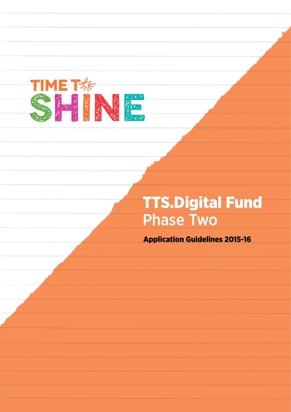

# TTS.Digital Fund Phase Two

Application Guidelines 2015-16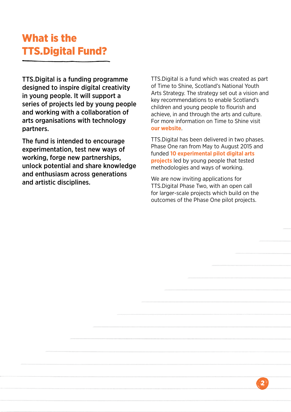# What is the TTS.Digital Fund?

TTS.Digital is a funding programme designed to inspire digital creativity in young people. It will support a series of projects led by young people and working with a collaboration of arts organisations with technology partners.

The fund is intended to encourage experimentation, test new ways of working, forge new partnerships, unlock potential and share knowledge and enthusiasm across generations and artistic disciplines.

TTS.Digital is a fund which was created as part of Time to Shine, Scotland's National Youth Arts Strategy. The strategy set out a vision and key recommendations to enable Scotland's children and young people to flourish and achieve, in and through the arts and culture. For more information on Time to Shine visit **our [website](http://www.creativescotland.com/what-we-do/major-projects/national-projects/national-youth-arts-strategy)**.

TTS.Digital has been delivered in two phases. Phase One ran from May to August 2015 and funded **[10 experimental pilot digital arts](http://www.creativescotland.com/what-we-do/latest-news/archive/2015/05/new-funding-announced-for-youth-led-digital-arts-and-culture-projects)  [projects](http://www.creativescotland.com/what-we-do/latest-news/archive/2015/05/new-funding-announced-for-youth-led-digital-arts-and-culture-projects)** led by young people that tested methodologies and ways of working.

We are now inviting applications for TTS.Digital Phase Two, with an open call for larger-scale projects which build on the outcomes of the Phase One pilot projects.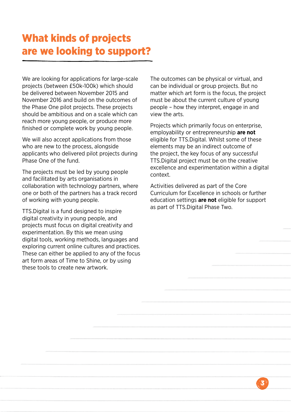# What kinds of projects are we looking to support?

We are looking for applications for large-scale projects (between £50k-100k) which should be delivered between November 2015 and November 2016 and build on the outcomes of the Phase One pilot projects. These projects should be ambitious and on a scale which can reach more young people, or produce more finished or complete work by young people.

We will also accept applications from those who are new to the process, alongside applicants who delivered pilot projects during Phase One of the fund.

The projects must be led by young people and facilitated by arts organisations in collaboration with technology partners, where one or both of the partners has a track record of working with young people.

TTS.Digital is a fund designed to inspire digital creativity in young people, and projects must focus on digital creativity and experimentation. By this we mean using digital tools, working methods, languages and exploring current online cultures and practices. These can either be applied to any of the focus art form areas of Time to Shine, or by using these tools to create new artwork.

The outcomes can be physical or virtual, and can be individual or group projects. But no matter which art form is the focus, the project must be about the current culture of young people – how they interpret, engage in and view the arts.

Projects which primarily focus on enterprise, employability or entrepreneurship **are not** eligible for TTS.Digital. Whilst some of these elements may be an indirect outcome of the project, the key focus of any successful TTS.Digital project must be on the creative excellence and experimentation within a digital context.

Activities delivered as part of the Core Curriculum for Excellence in schools or further education settings **are not** eligible for support as part of TTS.Digital Phase Two.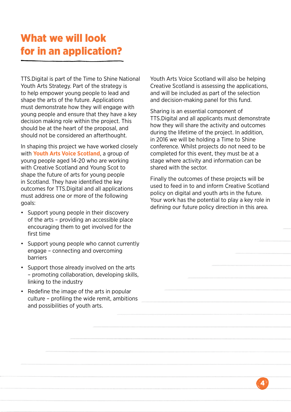# What we will look for in an application?

TTS.Digital is part of the Time to Shine National Youth Arts Strategy. Part of the strategy is to help empower young people to lead and shape the arts of the future. Applications must demonstrate how they will engage with young people and ensure that they have a key decision making role within the project. This should be at the heart of the proposal, and should not be considered an afterthought.

In shaping this project we have worked closely with **[Youth Arts Voice Scotland](http://www.creativescotland.com/what-we-do/latest-news/archive/2014/09/young-scots-to-help-shape-the-future-of-arts-in-scotland)**, a group of young people aged 14-20 who are working with Creative Scotland and Young Scot to shape the future of arts for young people in Scotland. They have identified the key outcomes for TTS.Digital and all applications must address one or more of the following goals:

- Support young people in their discovery of the arts – providing an accessible place encouraging them to get involved for the first time
- • Support young people who cannot currently engage – connecting and overcoming barriers
- Support those already involved on the arts – promoting collaboration, developing skills, linking to the industry
- Redefine the image of the arts in popular culture – profiling the wide remit, ambitions and possibilities of youth arts.

Youth Arts Voice Scotland will also be helping Creative Scotland is assessing the applications, and will be included as part of the selection and decision-making panel for this fund.

Sharing is an essential component of TTS.Digital and all applicants must demonstrate how they will share the activity and outcomes during the lifetime of the project. In addition, in 2016 we will be holding a Time to Shine conference. Whilst projects do not need to be completed for this event, they must be at a stage where activity and information can be shared with the sector.

Finally the outcomes of these projects will be used to feed in to and inform Creative Scotland policy on digital and youth arts in the future. Your work has the potential to play a key role in defining our future policy direction in this area.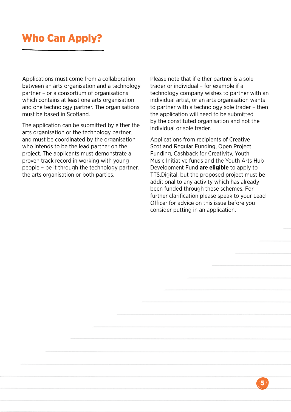# Who Can Apply?

Applications must come from a collaboration between an arts organisation and a technology partner – or a consortium of organisations which contains at least one arts organisation and one technology partner. The organisations must be based in Scotland.

The application can be submitted by either the arts organisation or the technology partner, and must be coordinated by the organisation who intends to be the lead partner on the project. The applicants must demonstrate a proven track record in working with young people – be it through the technology partner, the arts organisation or both parties.

Please note that if either partner is a sole trader or individual – for example if a technology company wishes to partner with an individual artist, or an arts organisation wants to partner with a technology sole trader – then the application will need to be submitted by the constituted organisation and not the individual or sole trader.

Applications from recipients of Creative Scotland Regular Funding, Open Project Funding, Cashback for Creativity, Youth Music Initiative funds and the Youth Arts Hub Development Fund **are eligible** to apply to TTS.Digital, but the proposed project must be additional to any activity which has already been funded through these schemes. For further clarification please speak to your Lead Officer for advice on this issue before you consider putting in an application.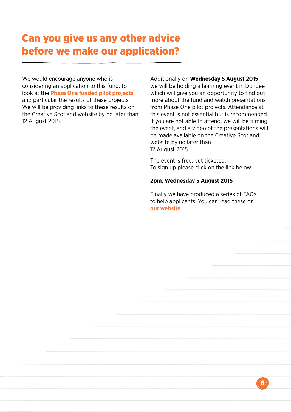### Can you give us any other advice before we make our application?

We would encourage anyone who is considering an application to this fund, to look at the **[Phase One funded pilot projects](http://www.creativescotland.com/what-we-do/latest-news/archive/2015/05/new-funding-announced-for-youth-led-digital-arts-and-culture-projects)**, and particular the results of these projects. We will be providing links to these results on the Creative Scotland website by no later than 12 August 2015.

Additionally on **Wednesday 5 August 2015** we will be holding a learning event in Dundee which will give you an opportunity to find out more about the fund and watch presentations from Phase One pilot projects. Attendance at this event is not essential but is recommended. If you are not able to attend, we will be filming the event, and a video of the presentations will be made available on the Creative Scotland website by no later than 12 August 2015.

The event is free, but ticketed. To sign up please click on the link below:

#### **[2pm, Wednesday 5 August 2015](http://www.eventbrite.co.uk/e/ttsdigital-phase-two-learning-event-tickets-3912004912)**

Finally we have produced a series of FAQs to help applicants. You can read these on **our website**.

 $\mathbf{\hat{6}}$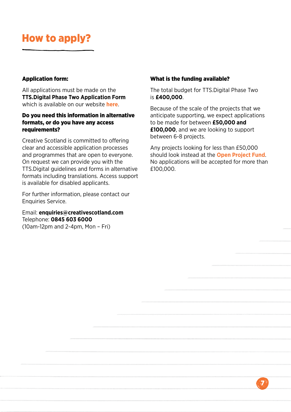# How to apply?

### Application form:

All applications must be made on the **TTS.Digital Phase Two Application Form** which is available on our website **[here](http://www.creativescotland.com/funding/funding-programmes/targeted-funding/tts-digital)**.

### Do you need this information in alternative formats, or do you have any access requirements?

Creative Scotland is committed to offering clear and accessible application processes and programmes that are open to everyone. On request we can provide you with the TTS.Digital guidelines and forms in alternative formats including translations. Access support is available for disabled applicants.

For further information, please contact our Enquiries Service.

Email: **[enquiries@creativescotland.com](mailto:enquiries%40creativescotland.com?subject=)** Telephone: **0845 603 6000** (10am-12pm and 2-4pm, Mon – Fri)

#### What is the funding available?

The total budget for TTS.Digital Phase Two is **£400,000**.

Because of the scale of the projects that we anticipate supporting, we expect applications to be made for between **£50,000 and £100,000**, and we are looking to support between 6-8 projects.

Any projects looking for less than £50,000 should look instead at the **[Open Project Fund](http://www.creativescotland.com/funding/funding-programmes/open-project-funding)**. No applications will be accepted for more than £100,000.

 $\bar{\boldsymbol{q}}$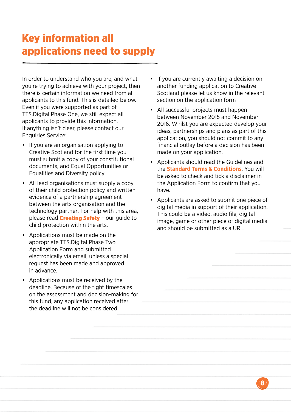### Key information all applications need to supply

In order to understand who you are, and what you're trying to achieve with your project, then there is certain information we need from all applicants to this fund. This is detailed below. Even if you were supported as part of TTS.Digital Phase One, we still expect all applicants to provide this information. If anything isn't clear, please contact our Enquiries Service:

- If you are an organisation applying to Creative Scotland for the first time you must submit a copy of your constitutional documents, and Equal Opportunities or Equalities and Diversity policy
- All lead organisations must supply a copy of their child protection policy and written evidence of a partnership agreement between the arts organisation and the technology partner. For help with this area, please read **[Creating Safety](http://www.creativescotland.com/resources/professional-resources/guidance-and-toolkits/creating-safety)** – our guide to child protection within the arts.
- Applications must be made on the appropriate TTS.Digital Phase Two Application Form and submitted electronically via email, unless a special request has been made and approved in advance.
- Applications must be received by the deadline. Because of the tight timescales on the assessment and decision-making for this fund, any application received after the deadline will not be considered.
- If you are currently awaiting a decision on another funding application to Creative Scotland please let us know in the relevant section on the application form
- All successful projects must happen between November 2015 and November 2016. Whilst you are expected develop your ideas, partnerships and plans as part of this application, you should not commit to any financial outlay before a decision has been made on your application.
- Applicants should read the Guidelines and the **[Standard Terms & Conditions](http://www.creativescotland.com/resources/our-publications/funding-documents/terms-and-conditions)**. You will be asked to check and tick a disclaimer in the Application Form to confirm that you have.
- Applicants are asked to submit one piece of digital media in support of their application. This could be a video, audio file, digital image, game or other piece of digital media and should be submitted as a URL.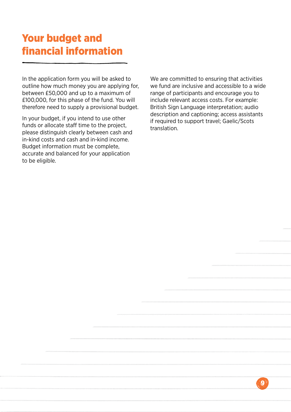### Your budget and financial information

In the application form you will be asked to outline how much money you are applying for, between £50,000 and up to a maximum of £100,000, for this phase of the fund. You will therefore need to supply a provisional budget.

In your budget, if you intend to use other funds or allocate staff time to the project, please distinguish clearly between cash and in-kind costs and cash and in-kind income. Budget information must be complete, accurate and balanced for your application to be eligible.

We are committed to ensuring that activities we fund are inclusive and accessible to a wide range of participants and encourage you to include relevant access costs. For example: British Sign Language interpretation; audio description and captioning; access assistants if required to support travel; Gaelic/Scots translation.

 $\mathbf{Q}$